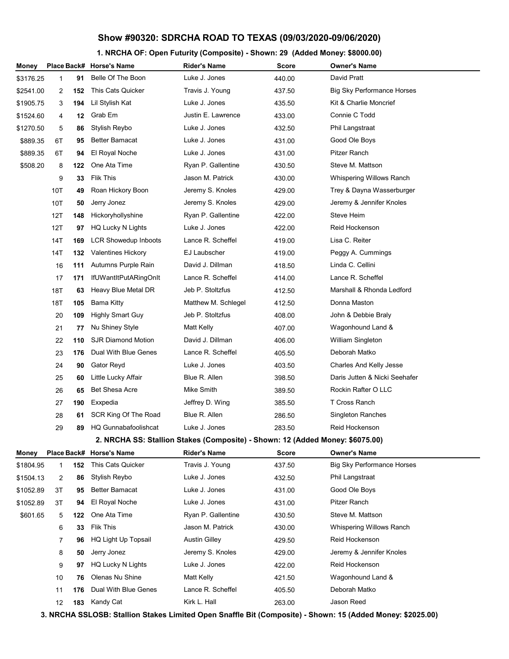#### **1. NRCHA OF: Open Futurity (Composite) - Shown: 29 (Added Money: \$8000.00)**

| Money     |                |     | Place Back# Horse's Name    | <b>Rider's Name</b>                                                           | <b>Score</b> | <b>Owner's Name</b>               |  |
|-----------|----------------|-----|-----------------------------|-------------------------------------------------------------------------------|--------------|-----------------------------------|--|
| \$3176.25 | 1              | 91  | Belle Of The Boon           | Luke J. Jones                                                                 | 440.00       | David Pratt                       |  |
| \$2541.00 | 2              | 152 | This Cats Quicker           | Travis J. Young                                                               | 437.50       | <b>Big Sky Performance Horses</b> |  |
| \$1905.75 | 3              | 194 | Lil Stylish Kat             | Luke J. Jones                                                                 | 435.50       | Kit & Charlie Moncrief            |  |
| \$1524.60 | 4              | 12  | Grab Em                     | Justin E. Lawrence                                                            | 433.00       | Connie C Todd                     |  |
| \$1270.50 | 5              | 86  | Stylish Reybo               | Luke J. Jones                                                                 | 432.50       | Phil Langstraat                   |  |
| \$889.35  | 6T             | 95  | <b>Better Bamacat</b>       | Luke J. Jones                                                                 | 431.00       | Good Ole Boys                     |  |
| \$889.35  | 6T             | 94  | El Royal Noche              | Luke J. Jones                                                                 | 431.00       | Pitzer Ranch                      |  |
| \$508.20  | 8              | 122 | One Ata Time                | Ryan P. Gallentine                                                            | 430.50       | Steve M. Mattson                  |  |
|           | 9              | 33  | Flik This                   | Jason M. Patrick                                                              | 430.00       | Whispering Willows Ranch          |  |
|           | 10T            | 49  | Roan Hickory Boon           | Jeremy S. Knoles                                                              | 429.00       | Trey & Dayna Wasserburger         |  |
|           | 10T            | 50  | Jerry Jonez                 | Jeremy S. Knoles                                                              | 429.00       | Jeremy & Jennifer Knoles          |  |
|           | 12T            | 148 | Hickoryhollyshine           | Ryan P. Gallentine                                                            | 422.00       | Steve Heim                        |  |
|           | 12T            | 97  | HQ Lucky N Lights           | Luke J. Jones                                                                 | 422.00       | Reid Hockenson                    |  |
|           | 14T            | 169 | <b>LCR Showedup Inboots</b> | Lance R. Scheffel                                                             | 419.00       | Lisa C. Reiter                    |  |
|           | 14T            | 132 | <b>Valentines Hickory</b>   | EJ Laubscher                                                                  | 419.00       | Peggy A. Cummings                 |  |
|           | 16             | 111 | Autumns Purple Rain         | David J. Dillman                                                              | 418.50       | Linda C. Cellini                  |  |
|           | 17             | 171 | IfUWantItPutARingOnIt       | Lance R. Scheffel                                                             | 414.00       | Lance R. Scheffel                 |  |
|           | 18T            | 63  | Heavy Blue Metal DR         | Jeb P. Stoltzfus                                                              | 412.50       | Marshall & Rhonda Ledford         |  |
|           | 18T            | 105 | Bama Kitty                  | Matthew M. Schlegel                                                           | 412.50       | Donna Maston                      |  |
|           | 20             | 109 | <b>Highly Smart Guy</b>     | Jeb P. Stoltzfus                                                              | 408.00       | John & Debbie Braly               |  |
|           | 21             | 77  | Nu Shiney Style             | Matt Kelly                                                                    | 407.00       | Wagonhound Land &                 |  |
|           | 22             | 110 | <b>SJR Diamond Motion</b>   | David J. Dillman                                                              | 406.00       | William Singleton                 |  |
|           | 23             | 176 | Dual With Blue Genes        | Lance R. Scheffel                                                             | 405.50       | Deborah Matko                     |  |
|           | 24             | 90  | Gator Reyd                  | Luke J. Jones                                                                 | 403.50       | Charles And Kelly Jesse           |  |
|           | 25             | 60  | Little Lucky Affair         | Blue R. Allen                                                                 | 398.50       | Daris Jutten & Nicki Seehafer     |  |
|           | 26             | 65  | <b>Bet Shesa Acre</b>       | Mike Smith                                                                    | 389.50       | Rockin Rafter O LLC               |  |
|           | 27             | 190 | Exxpedia                    | Jeffrey D. Wing                                                               | 385.50       | T Cross Ranch                     |  |
|           | 28             | 61  | SCR King Of The Road        | Blue R. Allen                                                                 | 286.50       | Singleton Ranches                 |  |
|           | 29             | 89  | HQ Gunnabafoolishcat        | Luke J. Jones                                                                 | 283.50       | Reid Hockenson                    |  |
|           |                |     |                             | 2. NRCHA SS: Stallion Stakes (Composite) - Shown: 12 (Added Money: \$6075.00) |              |                                   |  |
| Money     | Place Back#    |     | <b>Horse's Name</b>         | <b>Rider's Name</b>                                                           | Score        | <b>Owner's Name</b>               |  |
| \$1804.95 | 1              | 152 | This Cats Quicker           | Travis J. Young                                                               | 437.50       | <b>Big Sky Performance Horses</b> |  |
| \$1504.13 | $\overline{2}$ | 86  | Stylish Reybo               | Luke J. Jones                                                                 | 432.50       | Phil Langstraat                   |  |
| \$1052.89 | 3Т             | 95  | <b>Better Bamacat</b>       | Luke J. Jones                                                                 | 431.00       | Good Ole Boys                     |  |
| \$1052.89 | ЗT             | 94  | El Royal Noche              | Luke J. Jones                                                                 | 431.00       | Pitzer Ranch                      |  |
| \$601.65  | 5              | 122 | One Ata Time                | Ryan P. Gallentine                                                            | 430.50       | Steve M. Mattson                  |  |
|           | 6              | 33  | <b>Flik This</b>            | Jason M. Patrick                                                              | 430.00       | Whispering Willows Ranch          |  |
|           | 7              | 96  | HQ Light Up Topsail         | <b>Austin Gilley</b>                                                          | 429.50       | Reid Hockenson                    |  |
|           | 8              | 50  | Jerry Jonez                 | Jeremy S. Knoles                                                              | 429.00       | Jeremy & Jennifer Knoles          |  |
|           | 9              | 97  | HQ Lucky N Lights           | Luke J. Jones                                                                 | 422.00       | Reid Hockenson                    |  |
|           | 10             | 76  | Olenas Nu Shine             | Matt Kelly                                                                    | 421.50       | Wagonhound Land &                 |  |
|           | 11             | 176 | Dual With Blue Genes        | Lance R. Scheffel                                                             | 405.50       | Deborah Matko                     |  |
|           | 12             | 183 | Kandy Cat                   | Kirk L. Hall                                                                  | 263.00       | Jason Reed                        |  |

**3. NRCHA SSLOSB: Stallion Stakes Limited Open Snaffle Bit (Composite) - Shown: 15 (Added Money: \$2025.00)**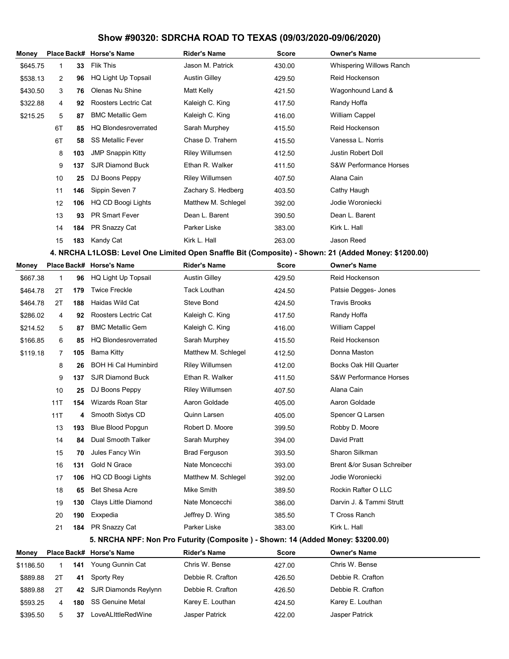| Money     |             |     | Place Back# Horse's Name                                                         | <b>Rider's Name</b>    | <b>Score</b> | Owner's Name                                                                                         |  |
|-----------|-------------|-----|----------------------------------------------------------------------------------|------------------------|--------------|------------------------------------------------------------------------------------------------------|--|
| \$645.75  | 1           | 33  | <b>Flik This</b>                                                                 | Jason M. Patrick       | 430.00       | Whispering Willows Ranch                                                                             |  |
| \$538.13  | 2           | 96  | HQ Light Up Topsail                                                              | <b>Austin Gilley</b>   | 429.50       | Reid Hockenson                                                                                       |  |
| \$430.50  | 3           | 76  | Olenas Nu Shine                                                                  | Matt Kelly             | 421.50       | Wagonhound Land &                                                                                    |  |
| \$322.88  | 4           | 92  | Roosters Lectric Cat                                                             | Kaleigh C. King        | 417.50       | Randy Hoffa                                                                                          |  |
| \$215.25  | 5           | 87  | <b>BMC Metallic Gem</b>                                                          | Kaleigh C. King        | 416.00       | <b>William Cappel</b>                                                                                |  |
|           | 6T          | 85  | <b>HQ Blondesroverrated</b>                                                      | Sarah Murphey          | 415.50       | Reid Hockenson                                                                                       |  |
|           | 6T          | 58  | <b>SS Metallic Fever</b>                                                         | Chase D. Trahern       | 415.50       | Vanessa L. Norris                                                                                    |  |
|           | 8           | 103 | <b>JMP Snappin Kitty</b>                                                         | <b>Riley Willumsen</b> | 412.50       | Justin Robert Doll                                                                                   |  |
|           | 9           | 137 | <b>SJR Diamond Buck</b>                                                          | Ethan R. Walker        | 411.50       | <b>S&amp;W Performance Horses</b>                                                                    |  |
|           | 10          | 25  | DJ Boons Peppy                                                                   | <b>Riley Willumsen</b> | 407.50       | Alana Cain                                                                                           |  |
|           | 11          | 146 | Sippin Seven 7                                                                   | Zachary S. Hedberg     | 403.50       | Cathy Haugh                                                                                          |  |
|           | 12          | 106 | HQ CD Boogi Lights                                                               | Matthew M. Schlegel    | 392.00       | Jodie Woroniecki                                                                                     |  |
|           | 13          | 93  | <b>PR Smart Fever</b>                                                            | Dean L. Barent         | 390.50       | Dean L. Barent                                                                                       |  |
|           | 14          | 184 | PR Snazzy Cat                                                                    | Parker Liske           | 383.00       | Kirk L. Hall                                                                                         |  |
|           | 15          | 183 | Kandy Cat                                                                        | Kirk L. Hall           | 263.00       | Jason Reed                                                                                           |  |
|           |             |     |                                                                                  |                        |              | 4. NRCHA L1LOSB: Level One Limited Open Snaffle Bit (Composite) - Shown: 21 (Added Money: \$1200.00) |  |
| Monev     |             |     | Place Back# Horse's Name                                                         | <b>Rider's Name</b>    | <b>Score</b> | <b>Owner's Name</b>                                                                                  |  |
| \$667.38  | $\mathbf 1$ | 96  | HQ Light Up Topsail                                                              | <b>Austin Gilley</b>   | 429.50       | Reid Hockenson                                                                                       |  |
| \$464.78  | 2Τ          | 179 | <b>Twice Freckle</b>                                                             | <b>Tack Louthan</b>    | 424.50       | Patsie Degges- Jones                                                                                 |  |
| \$464.78  | 2Τ          | 188 | Haidas Wild Cat                                                                  | <b>Steve Bond</b>      | 424.50       | <b>Travis Brooks</b>                                                                                 |  |
| \$286.02  | 4           | 92  | Roosters Lectric Cat                                                             | Kaleigh C. King        | 417.50       | Randy Hoffa                                                                                          |  |
| \$214.52  | 5           | 87  | <b>BMC Metallic Gem</b>                                                          | Kaleigh C. King        | 416.00       | <b>William Cappel</b>                                                                                |  |
| \$166.85  | 6           | 85  | <b>HQ Blondesroverrated</b>                                                      | Sarah Murphey          | 415.50       | Reid Hockenson                                                                                       |  |
| \$119.18  | 7           | 105 | Bama Kitty                                                                       | Matthew M. Schlegel    | 412.50       | Donna Maston                                                                                         |  |
|           | 8           | 26  | <b>BOH Hi Cal Huminbird</b>                                                      | <b>Riley Willumsen</b> | 412.00       | <b>Bocks Oak Hill Quarter</b>                                                                        |  |
|           | 9           | 137 | <b>SJR Diamond Buck</b>                                                          | Ethan R. Walker        | 411.50       | <b>S&amp;W Performance Horses</b>                                                                    |  |
|           | 10          | 25  | DJ Boons Peppy                                                                   | <b>Riley Willumsen</b> | 407.50       | Alana Cain                                                                                           |  |
|           | 11T         | 154 | Wizards Roan Star                                                                | Aaron Goldade          | 405.00       | Aaron Goldade                                                                                        |  |
|           | 11T         | 4   | Smooth Sixtys CD                                                                 | Quinn Larsen           | 405.00       | Spencer Q Larsen                                                                                     |  |
|           | 13          | 193 | <b>Blue Blood Popgun</b>                                                         | Robert D. Moore        | 399.50       | Robby D. Moore                                                                                       |  |
|           | 14          | 84  | Dual Smooth Talker                                                               | Sarah Murphey          | 394.00       | David Pratt                                                                                          |  |
|           | 15          | 70  | Jules Fancy Win                                                                  | <b>Brad Ferguson</b>   | 393.50       | Sharon Silkman                                                                                       |  |
|           | 16          | 131 | Gold N Grace                                                                     | Nate Moncecchi         | 393.00       | Brent &/or Susan Schreiber                                                                           |  |
|           | 17          | 106 | HQ CD Boogi Lights                                                               | Matthew M. Schlegel    | 392.00       | Jodie Woroniecki                                                                                     |  |
|           | 18          | 65  | Bet Shesa Acre                                                                   | Mike Smith             | 389.50       | Rockin Rafter O LLC                                                                                  |  |
|           | 19          | 130 | Clays Little Diamond                                                             | Nate Moncecchi         | 386.00       | Darvin J. & Tammi Strutt                                                                             |  |
|           | 20          | 190 | Exxpedia                                                                         | Jeffrey D. Wing        | 385.50       | T Cross Ranch                                                                                        |  |
|           | 21          | 184 | PR Snazzy Cat                                                                    | Parker Liske           | 383.00       | Kirk L. Hall                                                                                         |  |
|           |             |     | 5. NRCHA NPF: Non Pro Futurity (Composite ) - Shown: 14 (Added Money: \$3200.00) |                        |              |                                                                                                      |  |
| Money     | Place Back# |     | <b>Horse's Name</b>                                                              | <b>Rider's Name</b>    | Score        | <b>Owner's Name</b>                                                                                  |  |
| \$1186.50 | 1           | 141 | Young Gunnin Cat                                                                 | Chris W. Bense         | 427.00       | Chris W. Bense                                                                                       |  |
| \$889.88  | 2T          | 41  | Sporty Rey                                                                       | Debbie R. Crafton      | 426.50       | Debbie R. Crafton                                                                                    |  |
| \$889.88  | 2Τ          | 42  | SJR Diamonds Reylynn                                                             | Debbie R. Crafton      | 426.50       | Debbie R. Crafton                                                                                    |  |
| \$593.25  | 4           | 180 | <b>SS Genuine Metal</b>                                                          | Karey E. Louthan       | 424.50       | Karey E. Louthan                                                                                     |  |
| \$395.50  | 5           | 37  | LoveALIttleRedWine                                                               | Jasper Patrick         | 422.00       | Jasper Patrick                                                                                       |  |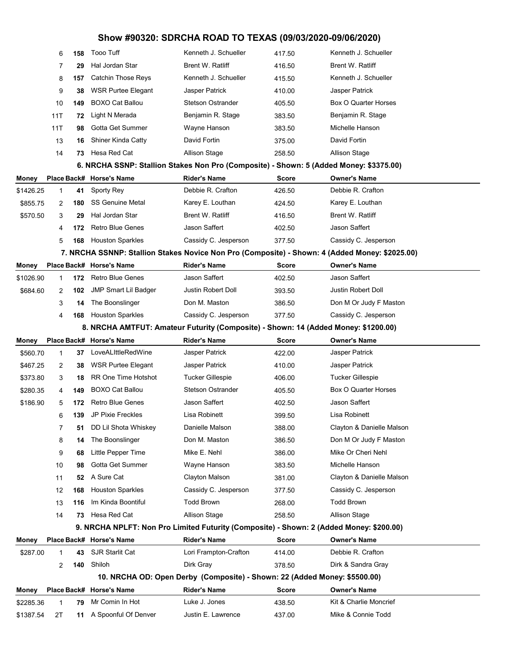|           | 6   | 158 | <b>Tooo Tuff</b>                                                                               | Kenneth J. Schueller                                                      | 417.50                                                                             | Kenneth J. Schueller      |  |  |  |  |  |  |  |  |
|-----------|-----|-----|------------------------------------------------------------------------------------------------|---------------------------------------------------------------------------|------------------------------------------------------------------------------------|---------------------------|--|--|--|--|--|--|--|--|
|           | 7   | 29  | Hal Jordan Star                                                                                | <b>Brent W. Ratliff</b>                                                   | 416.50                                                                             | <b>Brent W. Ratliff</b>   |  |  |  |  |  |  |  |  |
|           | 8   | 157 | Catchin Those Reys                                                                             | Kenneth J. Schueller                                                      | 415.50                                                                             | Kenneth J. Schueller      |  |  |  |  |  |  |  |  |
|           | 9   | 38  | <b>WSR Purtee Elegant</b>                                                                      | Jasper Patrick                                                            | 410.00                                                                             | Jasper Patrick            |  |  |  |  |  |  |  |  |
|           | 10  | 149 | <b>BOXO Cat Ballou</b>                                                                         | <b>Stetson Ostrander</b>                                                  | 405.50                                                                             | Box O Quarter Horses      |  |  |  |  |  |  |  |  |
|           | 11T | 72  | Light N Merada                                                                                 | Benjamin R. Stage                                                         | 383.50                                                                             | Benjamin R. Stage         |  |  |  |  |  |  |  |  |
|           | 11T | 98  | Gotta Get Summer                                                                               | Wayne Hanson                                                              | 383.50                                                                             | Michelle Hanson           |  |  |  |  |  |  |  |  |
|           | 13  | 16  | <b>Shiner Kinda Catty</b>                                                                      | David Fortin                                                              | 375.00                                                                             | David Fortin              |  |  |  |  |  |  |  |  |
|           | 14  | 73  | Hesa Red Cat                                                                                   | Allison Stage                                                             | 258.50                                                                             | Allison Stage             |  |  |  |  |  |  |  |  |
|           |     |     | 6. NRCHA SSNP: Stallion Stakes Non Pro (Composite) - Shown: 5 (Added Money: \$3375.00)         |                                                                           |                                                                                    |                           |  |  |  |  |  |  |  |  |
| Money     |     |     | Place Back# Horse's Name                                                                       | <b>Rider's Name</b>                                                       | <b>Score</b>                                                                       | <b>Owner's Name</b>       |  |  |  |  |  |  |  |  |
| \$1426.25 | 1   | 41  | Sporty Rey                                                                                     | Debbie R. Crafton                                                         | 426.50                                                                             | Debbie R. Crafton         |  |  |  |  |  |  |  |  |
| \$855.75  | 2   | 180 | <b>SS Genuine Metal</b>                                                                        | Karey E. Louthan                                                          | 424.50                                                                             | Karey E. Louthan          |  |  |  |  |  |  |  |  |
| \$570.50  | 3   | 29  | Hal Jordan Star                                                                                | Brent W. Ratliff                                                          | 416.50                                                                             | Brent W. Ratliff          |  |  |  |  |  |  |  |  |
|           | 4   | 172 | <b>Retro Blue Genes</b>                                                                        | Jason Saffert                                                             | 402.50                                                                             | Jason Saffert             |  |  |  |  |  |  |  |  |
|           | 5   | 168 | <b>Houston Sparkles</b>                                                                        | Cassidy C. Jesperson                                                      | 377.50                                                                             | Cassidy C. Jesperson      |  |  |  |  |  |  |  |  |
|           |     |     | 7. NRCHA SSNNP: Stallion Stakes Novice Non Pro (Composite) - Shown: 4 (Added Money: \$2025.00) |                                                                           |                                                                                    |                           |  |  |  |  |  |  |  |  |
| Money     |     |     | Place Back# Horse's Name                                                                       | <b>Rider's Name</b>                                                       | <b>Score</b>                                                                       | <b>Owner's Name</b>       |  |  |  |  |  |  |  |  |
| \$1026.90 | 1   | 172 | <b>Retro Blue Genes</b>                                                                        | Jason Saffert                                                             | 402.50                                                                             | Jason Saffert             |  |  |  |  |  |  |  |  |
| \$684.60  | 2   | 102 | <b>JMP Smart Lil Badger</b>                                                                    | Justin Robert Doll                                                        | 393.50                                                                             | Justin Robert Doll        |  |  |  |  |  |  |  |  |
|           | 3   | 14  | The Boonslinger                                                                                | Don M. Maston                                                             | 386.50                                                                             | Don M Or Judy F Maston    |  |  |  |  |  |  |  |  |
|           | 4   | 168 | <b>Houston Sparkles</b>                                                                        | Cassidy C. Jesperson                                                      | 377.50                                                                             | Cassidy C. Jesperson      |  |  |  |  |  |  |  |  |
|           |     |     |                                                                                                |                                                                           | 8. NRCHA AMTFUT: Amateur Futurity (Composite) - Shown: 14 (Added Money: \$1200.00) |                           |  |  |  |  |  |  |  |  |
|           |     |     |                                                                                                |                                                                           |                                                                                    |                           |  |  |  |  |  |  |  |  |
| Money     |     |     | Place Back# Horse's Name                                                                       | <b>Rider's Name</b>                                                       | <b>Score</b>                                                                       | <b>Owner's Name</b>       |  |  |  |  |  |  |  |  |
| \$560.70  | 1   | 37  | LoveALIttleRedWine                                                                             | Jasper Patrick                                                            | 422.00                                                                             | Jasper Patrick            |  |  |  |  |  |  |  |  |
| \$467.25  | 2   | 38  | <b>WSR Purtee Elegant</b>                                                                      | Jasper Patrick                                                            | 410.00                                                                             | Jasper Patrick            |  |  |  |  |  |  |  |  |
| \$373.80  | 3   | 18  | <b>RR One Time Hotshot</b>                                                                     | Tucker Gillespie                                                          | 406.00                                                                             | Tucker Gillespie          |  |  |  |  |  |  |  |  |
| \$280.35  | 4   | 149 | <b>BOXO Cat Ballou</b>                                                                         | <b>Stetson Ostrander</b>                                                  | 405.50                                                                             | Box O Quarter Horses      |  |  |  |  |  |  |  |  |
| \$186.90  | 5   | 172 | <b>Retro Blue Genes</b>                                                                        | Jason Saffert                                                             | 402.50                                                                             | Jason Saffert             |  |  |  |  |  |  |  |  |
|           | 6   | 139 | <b>JP Pixie Freckles</b>                                                                       | Lisa Robinett                                                             | 399.50                                                                             | Lisa Robinett             |  |  |  |  |  |  |  |  |
|           | 7   | 51  | DD Lil Shota Whiskey                                                                           | Danielle Malson                                                           | 388.00                                                                             | Clayton & Danielle Malson |  |  |  |  |  |  |  |  |
|           | 8   | 14  | The Boonslinger                                                                                | Don M. Maston                                                             | 386.50                                                                             | Don M Or Judy F Maston    |  |  |  |  |  |  |  |  |
|           | 9   | 68  | Little Pepper Time                                                                             | Mike E. Nehl                                                              | 386.00                                                                             | Mike Or Cheri Nehl        |  |  |  |  |  |  |  |  |
|           | 10  | 98  | Gotta Get Summer                                                                               | Wayne Hanson                                                              | 383.50                                                                             | Michelle Hanson           |  |  |  |  |  |  |  |  |
|           | 11  | 52  | A Sure Cat                                                                                     | Clayton Malson                                                            | 381.00                                                                             | Clayton & Danielle Malson |  |  |  |  |  |  |  |  |
|           | 12  | 168 | <b>Houston Sparkles</b>                                                                        | Cassidy C. Jesperson                                                      | 377.50                                                                             | Cassidy C. Jesperson      |  |  |  |  |  |  |  |  |
|           | 13  | 116 | Im Kinda Boontiful                                                                             | <b>Todd Brown</b>                                                         | 268.00                                                                             | <b>Todd Brown</b>         |  |  |  |  |  |  |  |  |
|           | 14  | 73  | Hesa Red Cat                                                                                   | <b>Allison Stage</b>                                                      | 258.50                                                                             | <b>Allison Stage</b>      |  |  |  |  |  |  |  |  |
|           |     |     | 9. NRCHA NPLFT: Non Pro Limited Futurity (Composite) - Shown: 2 (Added Money: \$200.00)        |                                                                           |                                                                                    |                           |  |  |  |  |  |  |  |  |
| Money     |     |     | Place Back# Horse's Name                                                                       | <b>Rider's Name</b>                                                       | <b>Score</b>                                                                       | <b>Owner's Name</b>       |  |  |  |  |  |  |  |  |
| \$287.00  | 1   | 43  | <b>SJR Starlit Cat</b>                                                                         | Lori Frampton-Crafton                                                     | 414.00                                                                             | Debbie R. Crafton         |  |  |  |  |  |  |  |  |
|           | 2   | 140 | Shiloh                                                                                         | Dirk Gray                                                                 | 378.50                                                                             | Dirk & Sandra Gray        |  |  |  |  |  |  |  |  |
|           |     |     |                                                                                                | 10. NRCHA OD: Open Derby (Composite) - Shown: 22 (Added Money: \$5500.00) |                                                                                    |                           |  |  |  |  |  |  |  |  |
| Money     |     |     | Place Back# Horse's Name                                                                       | <b>Rider's Name</b>                                                       | <b>Score</b>                                                                       | <b>Owner's Name</b>       |  |  |  |  |  |  |  |  |
| \$2285.36 | 1   | 79  | Mr Comin In Hot                                                                                | Luke J. Jones                                                             | 438.50                                                                             | Kit & Charlie Moncrief    |  |  |  |  |  |  |  |  |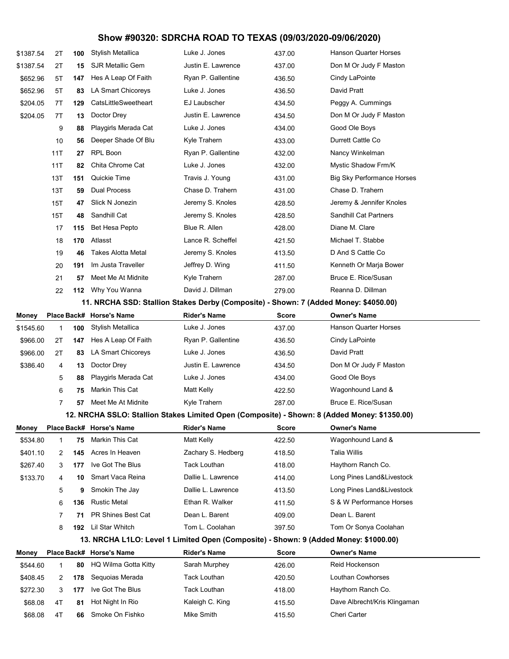| \$1387.54 | 2Τ           | 100 | Stylish Metallica                                                                            | Luke J. Jones       | 437.00       | Hanson Quarter Horses             |  |
|-----------|--------------|-----|----------------------------------------------------------------------------------------------|---------------------|--------------|-----------------------------------|--|
| \$1387.54 | 2Τ           | 15  | <b>SJR Metallic Gem</b>                                                                      | Justin E. Lawrence  | 437.00       | Don M Or Judy F Maston            |  |
| \$652.96  | 5T           | 147 | Hes A Leap Of Faith                                                                          | Ryan P. Gallentine  | 436.50       | Cindy LaPointe                    |  |
| \$652.96  | 5T           | 83  | LA Smart Chicoreys                                                                           | Luke J. Jones       | 436.50       | David Pratt                       |  |
| \$204.05  | 7T           | 129 | CatsLittleSweetheart                                                                         | EJ Laubscher        | 434.50       | Peggy A. Cummings                 |  |
| \$204.05  | 7T           | 13  | Doctor Drey                                                                                  | Justin E. Lawrence  | 434.50       | Don M Or Judy F Maston            |  |
|           | 9            | 88  | Playgirls Merada Cat                                                                         | Luke J. Jones       | 434.00       | Good Ole Boys                     |  |
|           | 10           | 56  | Deeper Shade Of Blu                                                                          | Kyle Trahern        | 433.00       | Durrett Cattle Co                 |  |
|           | 11T          | 27  | <b>RPL Boon</b>                                                                              | Ryan P. Gallentine  | 432.00       | Nancy Winkelman                   |  |
|           | 11T          | 82  | Chita Chrome Cat                                                                             | Luke J. Jones       | 432.00       | Mystic Shadow Frm/K               |  |
|           | 13T          | 151 | Quickie Time                                                                                 | Travis J. Young     | 431.00       | <b>Big Sky Performance Horses</b> |  |
|           | 13T          | 59  | <b>Dual Process</b>                                                                          | Chase D. Trahern    | 431.00       | Chase D. Trahern                  |  |
|           | 15T          | 47  | Slick N Jonezin                                                                              | Jeremy S. Knoles    | 428.50       | Jeremy & Jennifer Knoles          |  |
|           | 15T          | 48  | Sandhill Cat                                                                                 | Jeremy S. Knoles    | 428.50       | <b>Sandhill Cat Partners</b>      |  |
|           | 17           | 115 | Bet Hesa Pepto                                                                               | Blue R. Allen       | 428.00       | Diane M. Clare                    |  |
|           | 18           | 170 | Atlasst                                                                                      | Lance R. Scheffel   | 421.50       | Michael T. Stabbe                 |  |
|           | 19           | 46  | <b>Takes Alotta Metal</b>                                                                    | Jeremy S. Knoles    | 413.50       | D And S Cattle Co                 |  |
|           | 20           | 191 | Im Justa Traveller                                                                           | Jeffrey D. Wing     | 411.50       | Kenneth Or Marja Bower            |  |
|           | 21           | 57  | Meet Me At Midnite                                                                           | Kyle Trahern        | 287.00       | Bruce E. Rice/Susan               |  |
|           | 22           | 112 | Why You Wanna                                                                                | David J. Dillman    | 279.00       | Reanna D. Dillman                 |  |
|           |              |     | 11. NRCHA SSD: Stallion Stakes Derby (Composite) - Shown: 7 (Added Money: \$4050.00)         |                     |              |                                   |  |
| Money     |              |     | Place Back# Horse's Name                                                                     | <b>Rider's Name</b> | <b>Score</b> | <b>Owner's Name</b>               |  |
| \$1545.60 | 1            | 100 | Stylish Metallica                                                                            | Luke J. Jones       | 437.00       | Hanson Quarter Horses             |  |
| \$966.00  | 2Τ           | 147 | Hes A Leap Of Faith                                                                          | Ryan P. Gallentine  | 436.50       | Cindy LaPointe                    |  |
| \$966.00  | 2Τ           | 83  | LA Smart Chicoreys                                                                           | Luke J. Jones       | 436.50       | David Pratt                       |  |
| \$386.40  | 4            | 13  | Doctor Drey                                                                                  | Justin E. Lawrence  | 434.50       | Don M Or Judy F Maston            |  |
|           | 5            | 88  | Playgirls Merada Cat                                                                         | Luke J. Jones       | 434.00       | Good Ole Boys                     |  |
|           | 6            | 75  | Markin This Cat                                                                              | Matt Kelly          | 422.50       | Wagonhound Land &                 |  |
|           | 7            | 57  | Meet Me At Midnite                                                                           | Kyle Trahern        | 287.00       | Bruce E. Rice/Susan               |  |
|           |              |     | 12. NRCHA SSLO: Stallion Stakes Limited Open (Composite) - Shown: 8 (Added Money: \$1350.00) |                     |              |                                   |  |
| Money     |              |     | Place Back# Horse's Name                                                                     | <b>Rider's Name</b> | Score        | <b>Owner's Name</b>               |  |
| \$534.80  | 1            | 75  | Markin This Cat                                                                              | Matt Kelly          | 422.50       | Wagonhound Land &                 |  |
| \$401.10  | 2            | 145 | Acres In Heaven                                                                              | Zachary S. Hedberg  | 418.50       | <b>Talia Willis</b>               |  |
| \$267.40  | 3            | 177 | Ive Got The Blus                                                                             | <b>Tack Louthan</b> | 418.00       | Haythorn Ranch Co.                |  |
| \$133.70  | 4            | 10  | Smart Vaca Reina                                                                             | Dallie L. Lawrence  | 414.00       | Long Pines Land&Livestock         |  |
|           | 5            | 9   | Smokin The Jay                                                                               | Dallie L. Lawrence  | 413.50       | Long Pines Land&Livestock         |  |
|           | 6            | 136 | <b>Rustic Metal</b>                                                                          | Ethan R. Walker     | 411.50       | S & W Performance Horses          |  |
|           | 7            | 71  | PR Shines Best Cat                                                                           | Dean L. Barent      | 409.00       | Dean L. Barent                    |  |
|           | 8            | 192 | Lil Star Whitch                                                                              | Tom L. Coolahan     | 397.50       | Tom Or Sonya Coolahan             |  |
|           |              |     | 13. NRCHA L1LO: Level 1 Limited Open (Composite) - Shown: 9 (Added Money: \$1000.00)         |                     |              |                                   |  |
| Money     |              |     | Place Back# Horse's Name                                                                     | <b>Rider's Name</b> | <b>Score</b> | <b>Owner's Name</b>               |  |
| \$544.60  | $\mathbf{1}$ | 80  | HQ Wilma Gotta Kitty                                                                         | Sarah Murphey       | 426.00       | Reid Hockenson                    |  |
| \$408.45  | 2            | 178 | Sequoias Merada                                                                              | Tack Louthan        | 420.50       | Louthan Cowhorses                 |  |
| \$272.30  | 3            | 177 | Ive Got The Blus                                                                             | <b>Tack Louthan</b> | 418.00       | Haythorn Ranch Co.                |  |
| \$68.08   | 4T           | 81  | Hot Night In Rio                                                                             | Kaleigh C. King     | 415.50       | Dave Albrecht/Kris Klingaman      |  |
| \$68.08   | 4T           | 66  | Smoke On Fishko                                                                              | Mike Smith          | 415.50       | Cheri Carter                      |  |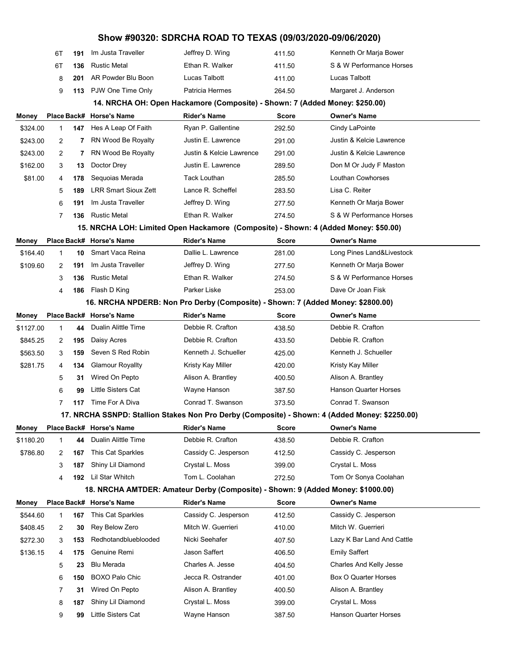|              | 6T           | 191 | Im Justa Traveller          | Jeffrey D. Wing                                                                 | 411.50       | Kenneth Or Marja Bower                                                                         |  |
|--------------|--------------|-----|-----------------------------|---------------------------------------------------------------------------------|--------------|------------------------------------------------------------------------------------------------|--|
|              | 6T           | 136 | <b>Rustic Metal</b>         | Ethan R. Walker                                                                 | 411.50       | S & W Performance Horses                                                                       |  |
|              | 8            | 201 | AR Powder Blu Boon          | Lucas Talbott                                                                   | 411.00       | Lucas Talbott                                                                                  |  |
|              | 9            | 113 | PJW One Time Only           | Patricia Hermes                                                                 | 264.50       | Margaret J. Anderson                                                                           |  |
|              |              |     |                             | 14. NRCHA OH: Open Hackamore (Composite) - Shown: 7 (Added Money: \$250.00)     |              |                                                                                                |  |
| Money        |              |     | Place Back# Horse's Name    | <b>Rider's Name</b>                                                             | <b>Score</b> | <b>Owner's Name</b>                                                                            |  |
| \$324.00     | 1            | 147 | Hes A Leap Of Faith         | Ryan P. Gallentine                                                              | 292.50       | Cindy LaPointe                                                                                 |  |
| \$243.00     | 2            | 7   | RN Wood Be Royalty          | Justin E. Lawrence                                                              | 291.00       | Justin & Kelcie Lawrence                                                                       |  |
| \$243.00     | 2            | 7   | RN Wood Be Royalty          | Justin & Kelcie Lawrence                                                        | 291.00       | Justin & Kelcie Lawrence                                                                       |  |
| \$162.00     | 3            | 13  | Doctor Drey                 | Justin E. Lawrence                                                              | 289.50       | Don M Or Judy F Maston                                                                         |  |
| \$81.00      | 4            | 178 | Sequoias Merada             | Tack Louthan                                                                    | 285.50       | Louthan Cowhorses                                                                              |  |
|              | 5            | 189 | <b>LRR Smart Sioux Zett</b> | Lance R. Scheffel                                                               | 283.50       | Lisa C. Reiter                                                                                 |  |
|              | 6            | 191 | Im Justa Traveller          | Jeffrey D. Wing                                                                 | 277.50       | Kenneth Or Marja Bower                                                                         |  |
|              | 7            | 136 | <b>Rustic Metal</b>         | Ethan R. Walker                                                                 | 274.50       | S & W Performance Horses                                                                       |  |
|              |              |     |                             |                                                                                 |              | 15. NRCHA LOH: Limited Open Hackamore (Composite) - Shown: 4 (Added Money: \$50.00)            |  |
| Money        |              |     | Place Back# Horse's Name    | <b>Rider's Name</b>                                                             | <b>Score</b> | <b>Owner's Name</b>                                                                            |  |
| \$164.40     | 1            | 10  | Smart Vaca Reina            | Dallie L. Lawrence                                                              | 281.00       | Long Pines Land&Livestock                                                                      |  |
| \$109.60     | 2            | 191 | Im Justa Traveller          | Jeffrey D. Wing                                                                 | 277.50       | Kenneth Or Marja Bower                                                                         |  |
|              | 3            | 136 | <b>Rustic Metal</b>         | Ethan R. Walker                                                                 | 274.50       | S & W Performance Horses                                                                       |  |
|              | 4            | 186 | Flash D King                | Parker Liske                                                                    | 253.00       | Dave Or Joan Fisk                                                                              |  |
|              |              |     |                             | 16. NRCHA NPDERB: Non Pro Derby (Composite) - Shown: 7 (Added Money: \$2800.00) |              |                                                                                                |  |
| Money        |              |     | Place Back# Horse's Name    | <b>Rider's Name</b>                                                             | <b>Score</b> | <b>Owner's Name</b>                                                                            |  |
| \$1127.00    | 1            | 44  | Dualin Alittle Time         | Debbie R. Crafton                                                               | 438.50       | Debbie R. Crafton                                                                              |  |
| \$845.25     | 2            | 195 | Daisy Acres                 | Debbie R. Crafton                                                               | 433.50       | Debbie R. Crafton                                                                              |  |
| \$563.50     | 3            | 159 | Seven S Red Robin           | Kenneth J. Schueller                                                            | 425.00       | Kenneth J. Schueller                                                                           |  |
| \$281.75     | 4            | 134 | <b>Glamour Royallty</b>     | Kristy Kay Miller                                                               | 420.00       | Kristy Kay Miller                                                                              |  |
|              | 5            | 31  | Wired On Pepto              | Alison A. Brantley                                                              | 400.50       | Alison A. Brantley                                                                             |  |
|              | 6            | 99  | <b>Little Sisters Cat</b>   | Wayne Hanson                                                                    | 387.50       | <b>Hanson Quarter Horses</b>                                                                   |  |
|              | 7            | 117 | Time For A Diva             | Conrad T. Swanson                                                               | 373.50       | Conrad T. Swanson                                                                              |  |
|              |              |     |                             |                                                                                 |              | 17. NRCHA SSNPD: Stallion Stakes Non Pro Derby (Composite) - Shown: 4 (Added Money: \$2250.00) |  |
| <b>Money</b> |              |     | Place Back# Horse's Name    | <b>Rider's Name</b>                                                             | Score        | <b>Owner's Name</b>                                                                            |  |
| \$1180.20    | $\mathbf{1}$ | 44  | Dualin Alittle Time         | Debbie R. Crafton                                                               | 438.50       | Debbie R. Crafton                                                                              |  |
| \$786.80     | 2            | 167 | This Cat Sparkles           | Cassidy C. Jesperson                                                            | 412.50       | Cassidy C. Jesperson                                                                           |  |
|              | 3            | 187 | Shiny Lil Diamond           | Crystal L. Moss                                                                 | 399.00       | Crystal L. Moss                                                                                |  |
|              | 4            | 192 | Lil Star Whitch             | Tom L. Coolahan                                                                 | 272.50       | Tom Or Sonya Coolahan                                                                          |  |
|              |              |     |                             | 18. NRCHA AMTDER: Amateur Derby (Composite) - Shown: 9 (Added Money: \$1000.00) |              |                                                                                                |  |
| Money        |              |     | Place Back# Horse's Name    | <b>Rider's Name</b>                                                             | <b>Score</b> | <b>Owner's Name</b>                                                                            |  |
| \$544.60     | 1            | 167 | This Cat Sparkles           | Cassidy C. Jesperson                                                            | 412.50       | Cassidy C. Jesperson                                                                           |  |
| \$408.45     | 2            | 30  | Rey Below Zero              | Mitch W. Guerrieri                                                              | 410.00       | Mitch W. Guerrieri                                                                             |  |
| \$272.30     | 3            | 153 | Redhotandblueblooded        | Nicki Seehafer                                                                  | 407.50       | Lazy K Bar Land And Cattle                                                                     |  |
| \$136.15     | 4            | 175 | Genuine Remi                | Jason Saffert                                                                   | 406.50       | <b>Emily Saffert</b>                                                                           |  |
|              | 5            | 23  | <b>Blu Merada</b>           | Charles A. Jesse                                                                | 404.50       | Charles And Kelly Jesse                                                                        |  |
|              | 6            | 150 | <b>BOXO Palo Chic</b>       | Jecca R. Ostrander                                                              | 401.00       | Box O Quarter Horses                                                                           |  |
|              | 7            | 31  | Wired On Pepto              | Alison A. Brantley                                                              | 400.50       | Alison A. Brantley                                                                             |  |
|              | 8            | 187 | Shiny Lil Diamond           | Crystal L. Moss                                                                 | 399.00       | Crystal L. Moss                                                                                |  |
|              | 9            | 99  | Little Sisters Cat          | Wayne Hanson                                                                    | 387.50       | Hanson Quarter Horses                                                                          |  |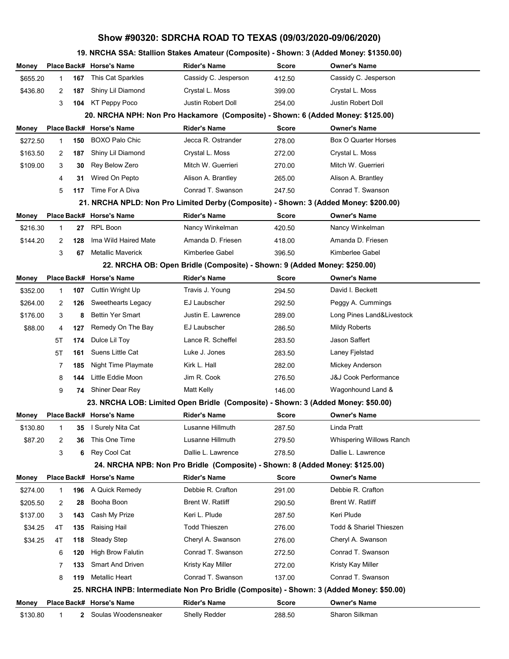# **19. NRCHA SSA: Stallion Stakes Amateur (Composite) - Shown: 3 (Added Money: \$1350.00)**

| Money                                                                           |    |     | Place Back# Horse's Name                                                                  | Rider's Name                                                                 | <b>Score</b> | Owner's Name                    |  |  |  |  |
|---------------------------------------------------------------------------------|----|-----|-------------------------------------------------------------------------------------------|------------------------------------------------------------------------------|--------------|---------------------------------|--|--|--|--|
| \$655.20                                                                        | 1  | 167 | This Cat Sparkles                                                                         | Cassidy C. Jesperson                                                         | 412.50       | Cassidy C. Jesperson            |  |  |  |  |
| \$436.80                                                                        | 2  | 187 | Shiny Lil Diamond                                                                         | Crystal L. Moss                                                              | 399.00       | Crystal L. Moss                 |  |  |  |  |
|                                                                                 | 3  | 104 | KT Peppy Poco                                                                             | Justin Robert Doll                                                           | 254.00       | Justin Robert Doll              |  |  |  |  |
| 20. NRCHA NPH: Non Pro Hackamore (Composite) - Shown: 6 (Added Money: \$125.00) |    |     |                                                                                           |                                                                              |              |                                 |  |  |  |  |
| Money                                                                           |    |     | Place Back# Horse's Name                                                                  | <b>Rider's Name</b>                                                          | <b>Score</b> | <b>Owner's Name</b>             |  |  |  |  |
| \$272.50                                                                        | 1  | 150 | <b>BOXO Palo Chic</b>                                                                     | Jecca R. Ostrander                                                           | 278.00       | Box O Quarter Horses            |  |  |  |  |
| \$163.50                                                                        | 2  | 187 | Shiny Lil Diamond                                                                         | Crystal L. Moss                                                              | 272.00       | Crystal L. Moss                 |  |  |  |  |
| \$109.00                                                                        | 3  | 30  | Rey Below Zero                                                                            | Mitch W. Guerrieri                                                           | 270.00       | Mitch W. Guerrieri              |  |  |  |  |
|                                                                                 | 4  | 31  | Wired On Pepto                                                                            | Alison A. Brantley                                                           | 265.00       | Alison A. Brantley              |  |  |  |  |
|                                                                                 | 5  | 117 | Time For A Diva                                                                           | Conrad T. Swanson                                                            | 247.50       | Conrad T. Swanson               |  |  |  |  |
|                                                                                 |    |     | 21. NRCHA NPLD: Non Pro Limited Derby (Composite) - Shown: 3 (Added Money: \$200.00)      |                                                                              |              |                                 |  |  |  |  |
| Money                                                                           |    |     | Place Back# Horse's Name                                                                  | <b>Rider's Name</b>                                                          | <b>Score</b> | <b>Owner's Name</b>             |  |  |  |  |
| \$216.30                                                                        | 1  | 27  | <b>RPL Boon</b>                                                                           | Nancy Winkelman                                                              | 420.50       | Nancy Winkelman                 |  |  |  |  |
| \$144.20                                                                        | 2  | 128 | Ima Wild Haired Mate                                                                      | Amanda D. Friesen                                                            | 418.00       | Amanda D. Friesen               |  |  |  |  |
|                                                                                 | 3  | 67  | <b>Metallic Maverick</b>                                                                  | Kimberlee Gabel                                                              | 396.50       | Kimberlee Gabel                 |  |  |  |  |
|                                                                                 |    |     |                                                                                           | 22. NRCHA OB: Open Bridle (Composite) - Shown: 9 (Added Money: \$250.00)     |              |                                 |  |  |  |  |
| Money                                                                           |    |     | Place Back# Horse's Name                                                                  | <b>Rider's Name</b>                                                          | <b>Score</b> | <b>Owner's Name</b>             |  |  |  |  |
| \$352.00                                                                        | 1  | 107 | Cuttin Wright Up                                                                          | Travis J. Young                                                              | 294.50       | David I. Beckett                |  |  |  |  |
| \$264.00                                                                        | 2  | 126 | Sweethearts Legacy                                                                        | EJ Laubscher                                                                 | 292.50       | Peggy A. Cummings               |  |  |  |  |
| \$176.00                                                                        | 3  | 8   | <b>Bettin Yer Smart</b>                                                                   | Justin E. Lawrence                                                           | 289.00       | Long Pines Land&Livestock       |  |  |  |  |
| \$88.00                                                                         | 4  | 127 | Remedy On The Bay                                                                         | EJ Laubscher                                                                 | 286.50       | <b>Mildy Roberts</b>            |  |  |  |  |
|                                                                                 | 5Τ | 174 | Dulce Lil Toy                                                                             | Lance R. Scheffel                                                            | 283.50       | Jason Saffert                   |  |  |  |  |
|                                                                                 | 5Τ | 161 | Suens Little Cat                                                                          | Luke J. Jones                                                                | 283.50       | Laney Fjelstad                  |  |  |  |  |
|                                                                                 | 7  | 185 | Night Time Playmate                                                                       | Kirk L. Hall                                                                 | 282.00       | Mickey Anderson                 |  |  |  |  |
|                                                                                 | 8  | 144 | Little Eddie Moon                                                                         | Jim R. Cook                                                                  | 276.50       | <b>J&amp;J Cook Performance</b> |  |  |  |  |
|                                                                                 | 9  | 74  | Shiner Dear Rey                                                                           | Matt Kelly                                                                   | 146.00       | Wagonhound Land &               |  |  |  |  |
|                                                                                 |    |     | 23. NRCHA LOB: Limited Open Bridle (Composite) - Shown: 3 (Added Money: \$50.00)          |                                                                              |              |                                 |  |  |  |  |
| Money                                                                           |    |     | Place Back# Horse's Name                                                                  | <b>Rider's Name</b>                                                          | <b>Score</b> | <b>Owner's Name</b>             |  |  |  |  |
| \$130.80                                                                        | 1  | 35  | I Surely Nita Cat                                                                         | Lusanne Hillmuth                                                             | 287.50       | Linda Pratt                     |  |  |  |  |
| \$87.20                                                                         | 2  | 36  | This One Time                                                                             | Lusanne Hillmuth                                                             | 279.50       | Whispering Willows Ranch        |  |  |  |  |
|                                                                                 | 3  | 6   | Rey Cool Cat                                                                              | Dallie L. Lawrence                                                           | 278.50       | Dallie L. Lawrence              |  |  |  |  |
|                                                                                 |    |     |                                                                                           | 24. NRCHA NPB: Non Pro Bridle (Composite) - Shown: 8 (Added Money: \$125.00) |              |                                 |  |  |  |  |
| Money                                                                           |    |     | Place Back# Horse's Name                                                                  | <b>Rider's Name</b>                                                          | <b>Score</b> | <b>Owner's Name</b>             |  |  |  |  |
| \$274.00                                                                        | 1  | 196 | A Quick Remedy                                                                            | Debbie R. Crafton                                                            | 291.00       | Debbie R. Crafton               |  |  |  |  |
| \$205.50                                                                        | 2  | 28  | Booha Boon                                                                                | Brent W. Ratliff                                                             | 290.50       | Brent W. Ratliff                |  |  |  |  |
| \$137.00                                                                        | 3  | 143 | Cash My Prize                                                                             | Keri L. Plude                                                                | 287.50       | Keri Plude                      |  |  |  |  |
| \$34.25                                                                         | 4T | 135 | Raising Hail                                                                              | <b>Todd Thieszen</b>                                                         | 276.00       | Todd & Shariel Thieszen         |  |  |  |  |
| \$34.25                                                                         | 4T | 118 | <b>Steady Step</b>                                                                        | Cheryl A. Swanson                                                            | 276.00       | Cheryl A. Swanson               |  |  |  |  |
|                                                                                 | 6  | 120 | <b>High Brow Falutin</b>                                                                  | Conrad T. Swanson                                                            | 272.50       | Conrad T. Swanson               |  |  |  |  |
|                                                                                 | 7  | 133 | <b>Smart And Driven</b>                                                                   | Kristy Kay Miller                                                            | 272.00       | Kristy Kay Miller               |  |  |  |  |
|                                                                                 | 8  | 119 | Metallic Heart                                                                            | Conrad T. Swanson                                                            | 137.00       | Conrad T. Swanson               |  |  |  |  |
|                                                                                 |    |     | 25. NRCHA INPB: Intermediate Non Pro Bridle (Composite) - Shown: 3 (Added Money: \$50.00) |                                                                              |              |                                 |  |  |  |  |
| Money                                                                           |    |     | Place Back# Horse's Name                                                                  | <b>Rider's Name</b>                                                          | Score        | <b>Owner's Name</b>             |  |  |  |  |
| \$130.80                                                                        | 1  | 2   | Soulas Woodensneaker                                                                      | Shelly Redder                                                                | 288.50       | Sharon Silkman                  |  |  |  |  |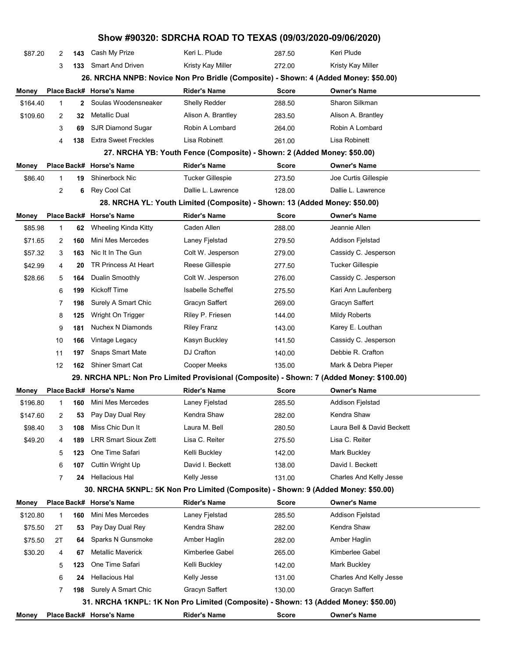|          |    |              |                                                                                     | Show #90320: SDRCHA ROAD TO TEXAS (09/03/2020-09/06/2020)                  |              |                                                                                           |  |
|----------|----|--------------|-------------------------------------------------------------------------------------|----------------------------------------------------------------------------|--------------|-------------------------------------------------------------------------------------------|--|
| \$87.20  | 2  | 143          | Cash My Prize                                                                       | Keri L. Plude                                                              | 287.50       | Keri Plude                                                                                |  |
|          | 3  | 133          | <b>Smart And Driven</b>                                                             | Kristy Kay Miller                                                          | 272.00       | Kristy Kay Miller                                                                         |  |
|          |    |              | 26. NRCHA NNPB: Novice Non Pro Bridle (Composite) - Shown: 4 (Added Money: \$50.00) |                                                                            |              |                                                                                           |  |
| Money    |    |              | Place Back# Horse's Name                                                            | <b>Rider's Name</b>                                                        | Score        | <b>Owner's Name</b>                                                                       |  |
| \$164.40 | 1  | $\mathbf{2}$ | Soulas Woodensneaker                                                                | Shelly Redder                                                              | 288.50       | Sharon Silkman                                                                            |  |
| \$109.60 | 2  | 32           | Metallic Dual                                                                       | Alison A. Brantley                                                         | 283.50       | Alison A. Brantley                                                                        |  |
|          | 3  | 69           | <b>SJR Diamond Sugar</b>                                                            | Robin A Lombard                                                            | 264.00       | Robin A Lombard                                                                           |  |
|          | 4  | 138          | <b>Extra Sweet Freckles</b>                                                         | Lisa Robinett                                                              | 261.00       | Lisa Robinett                                                                             |  |
|          |    |              |                                                                                     | 27. NRCHA YB: Youth Fence (Composite) - Shown: 2 (Added Money: \$50.00)    |              |                                                                                           |  |
| Money    |    |              | Place Back# Horse's Name                                                            | <b>Rider's Name</b>                                                        | Score        | <b>Owner's Name</b>                                                                       |  |
| \$86.40  | 1  | 19           | Shinerbock Nic                                                                      | Tucker Gillespie                                                           | 273.50       | Joe Curtis Gillespie                                                                      |  |
|          | 2  | 6            | Rey Cool Cat                                                                        | Dallie L. Lawrence                                                         | 128.00       | Dallie L. Lawrence                                                                        |  |
|          |    |              |                                                                                     | 28. NRCHA YL: Youth Limited (Composite) - Shown: 13 (Added Money: \$50.00) |              |                                                                                           |  |
| Money    |    |              | Place Back# Horse's Name                                                            | <b>Rider's Name</b>                                                        | Score        | <b>Owner's Name</b>                                                                       |  |
| \$85.98  | 1  | 62           | Wheeling Kinda Kitty                                                                | Caden Allen                                                                | 288.00       | Jeannie Allen                                                                             |  |
| \$71.65  | 2  | 160          | Mini Mes Mercedes                                                                   | Laney Fjelstad                                                             | 279.50       | Addison Fjelstad                                                                          |  |
| \$57.32  | 3  | 163          | Nic It In The Gun                                                                   | Colt W. Jesperson                                                          | 279.00       | Cassidy C. Jesperson                                                                      |  |
| \$42.99  | 4  | 20           | <b>TR Princess At Heart</b>                                                         | Reese Gillespie                                                            | 277.50       | <b>Tucker Gillespie</b>                                                                   |  |
| \$28.66  | 5  | 164          | Dualin Smoothly                                                                     | Colt W. Jesperson                                                          | 276.00       | Cassidy C. Jesperson                                                                      |  |
|          | 6  | 199          | Kickoff Time                                                                        | <b>Isabelle Scheffel</b>                                                   | 275.50       | Kari Ann Laufenberg                                                                       |  |
|          | 7  | 198          | Surely A Smart Chic                                                                 | Gracyn Saffert                                                             | 269.00       | Gracyn Saffert                                                                            |  |
|          | 8  | 125          | Wright On Trigger                                                                   | Riley P. Friesen                                                           | 144.00       | <b>Mildy Roberts</b>                                                                      |  |
|          | 9  | 181          | Nuchex N Diamonds                                                                   | <b>Riley Franz</b>                                                         | 143.00       | Karey E. Louthan                                                                          |  |
|          | 10 | 166          | Vintage Legacy                                                                      | Kasyn Buckley                                                              | 141.50       | Cassidy C. Jesperson                                                                      |  |
|          | 11 | 197          | <b>Snaps Smart Mate</b>                                                             | DJ Crafton                                                                 | 140.00       | Debbie R. Crafton                                                                         |  |
|          | 12 | 162          | <b>Shiner Smart Cat</b>                                                             | Cooper Meeks                                                               | 135.00       | Mark & Debra Pieper                                                                       |  |
|          |    |              |                                                                                     |                                                                            |              | 29. NRCHA NPL: Non Pro Limited Provisional (Composite) - Shown: 7 (Added Money: \$100.00) |  |
| Money    |    |              | Place Back# Horse's Name                                                            | <b>Rider's Name</b>                                                        | Score        | <b>Owner's Name</b>                                                                       |  |
| \$196.80 | 1  | 160          | Mini Mes Mercedes                                                                   | Laney Fjelstad                                                             | 285.50       | <b>Addison Fjelstad</b>                                                                   |  |
| \$147.60 | 2  | 53           | Pay Day Dual Rey                                                                    | Kendra Shaw                                                                | 282.00       | Kendra Shaw                                                                               |  |
| \$98.40  | 3  | 108          | Miss Chic Dun It                                                                    | Laura M. Bell                                                              | 280.50       | Laura Bell & David Beckett                                                                |  |
| \$49.20  | 4  | 189          | <b>LRR Smart Sioux Zett</b>                                                         | Lisa C. Reiter                                                             | 275.50       | Lisa C. Reiter                                                                            |  |
|          | 5  | 123          | One Time Safari                                                                     | Kelli Buckley                                                              | 142.00       | <b>Mark Buckley</b>                                                                       |  |
|          | 6  | 107          | Cuttin Wright Up                                                                    | David I. Beckett                                                           | 138.00       | David I. Beckett                                                                          |  |
|          | 7  | 24           | Hellacious Hal                                                                      | Kelly Jesse                                                                | 131.00       | Charles And Kelly Jesse                                                                   |  |
|          |    |              | 30. NRCHA 5KNPL: 5K Non Pro Limited (Composite) - Shown: 9 (Added Money: \$50.00)   |                                                                            |              |                                                                                           |  |
| Money    |    |              | Place Back# Horse's Name                                                            | <b>Rider's Name</b>                                                        | <b>Score</b> | <b>Owner's Name</b>                                                                       |  |
| \$120.80 | 1  | 160          | Mini Mes Mercedes                                                                   | Laney Fjelstad                                                             | 285.50       | Addison Fjelstad                                                                          |  |
| \$75.50  | 2T | 53           | Pay Day Dual Rey                                                                    | Kendra Shaw                                                                | 282.00       | Kendra Shaw                                                                               |  |
| \$75.50  | 2T | 64           | Sparks N Gunsmoke                                                                   | Amber Haglin                                                               | 282.00       | Amber Haglin                                                                              |  |
| \$30.20  | 4  | 67           | <b>Metallic Maverick</b>                                                            | Kimberlee Gabel                                                            | 265.00       | Kimberlee Gabel                                                                           |  |
|          | 5  | 123          | One Time Safari                                                                     | Kelli Buckley                                                              | 142.00       | Mark Buckley                                                                              |  |
|          | 6  | 24           | Hellacious Hal                                                                      | Kelly Jesse                                                                | 131.00       | Charles And Kelly Jesse                                                                   |  |
|          | 7  | 198          | Surely A Smart Chic                                                                 | Gracyn Saffert                                                             | 130.00       | Gracyn Saffert                                                                            |  |
|          |    |              | 31. NRCHA 1KNPL: 1K Non Pro Limited (Composite) - Shown: 13 (Added Money: \$50.00)  |                                                                            |              |                                                                                           |  |
| Money    |    |              | Place Back# Horse's Name                                                            | <b>Rider's Name</b>                                                        | <b>Score</b> | <b>Owner's Name</b>                                                                       |  |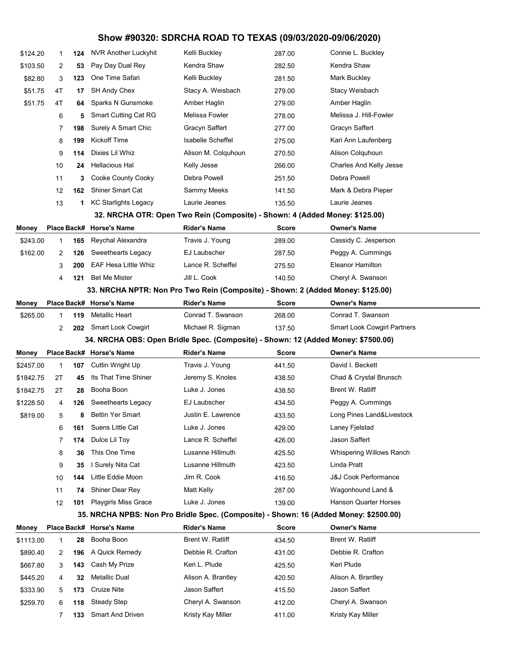| \$124.20                                                                          | 1           | 124 | <b>NVR Another Luckyhit</b>                                                           | Kelli Buckley                                                               | 287.00 | Connie L. Buckley                  |  |  |  |
|-----------------------------------------------------------------------------------|-------------|-----|---------------------------------------------------------------------------------------|-----------------------------------------------------------------------------|--------|------------------------------------|--|--|--|
| \$103.50                                                                          | 2           | 53  | Pay Day Dual Rey                                                                      | Kendra Shaw                                                                 | 282.50 | Kendra Shaw                        |  |  |  |
| \$82.80                                                                           | 3           | 123 | One Time Safari                                                                       | Kelli Buckley                                                               | 281.50 | Mark Buckley                       |  |  |  |
| \$51.75                                                                           | 4T          | 17  | SH Andy Chex                                                                          | Stacy A. Weisbach                                                           | 279.00 | Stacy Weisbach                     |  |  |  |
| \$51.75                                                                           | 4T          | 64  | Sparks N Gunsmoke                                                                     | Amber Haglin                                                                | 279.00 | Amber Haglin                       |  |  |  |
|                                                                                   | 6           | 5   | <b>Smart Cutting Cat RG</b>                                                           | Melissa Fowler                                                              | 278.00 | Melissa J. Hill-Fowler             |  |  |  |
|                                                                                   | 7           | 198 | Surely A Smart Chic                                                                   | Gracyn Saffert                                                              | 277.00 | Gracyn Saffert                     |  |  |  |
|                                                                                   | 8           | 199 | <b>Kickoff Time</b>                                                                   | <b>Isabelle Scheffel</b>                                                    | 275.00 | Kari Ann Laufenberg                |  |  |  |
|                                                                                   | 9           | 114 | Dixies Lil Whiz                                                                       | Alison M. Colquhoun                                                         | 270.50 | Alison Colquhoun                   |  |  |  |
|                                                                                   | 10          | 24  | <b>Hellacious Hal</b>                                                                 | Kelly Jesse                                                                 | 266.00 | Charles And Kelly Jesse            |  |  |  |
|                                                                                   | 11          | 3   | Cooke County Cooky                                                                    | Debra Powell                                                                | 251.50 | Debra Powell                       |  |  |  |
|                                                                                   | 12          | 162 | <b>Shiner Smart Cat</b>                                                               | Sammy Meeks                                                                 | 141.50 | Mark & Debra Pieper                |  |  |  |
|                                                                                   | 13          | 1   | <b>KC Starlights Legacy</b>                                                           | Laurie Jeanes                                                               | 135.50 | Laurie Jeanes                      |  |  |  |
|                                                                                   |             |     |                                                                                       | 32. NRCHA OTR: Open Two Rein (Composite) - Shown: 4 (Added Money: \$125.00) |        |                                    |  |  |  |
| Money                                                                             | Place Back# |     | <b>Horse's Name</b>                                                                   | <b>Rider's Name</b>                                                         | Score  | <b>Owner's Name</b>                |  |  |  |
| \$243.00                                                                          | 1           | 165 | Reychal Alexandra                                                                     | Travis J. Young                                                             | 289.00 | Cassidy C. Jesperson               |  |  |  |
| \$162.00                                                                          | 2           | 126 | Sweethearts Legacy                                                                    | EJ Laubscher                                                                | 287.50 | Peggy A. Cummings                  |  |  |  |
|                                                                                   | 3           | 200 | <b>EAF Hesa Little Whiz</b>                                                           | Lance R. Scheffel                                                           | 275.50 | <b>Eleanor Hamilton</b>            |  |  |  |
|                                                                                   | 4           | 121 | <b>Bet Me Mister</b>                                                                  | Jill L. Cook                                                                | 140.50 | Cheryl A. Swanson                  |  |  |  |
|                                                                                   |             |     | 33. NRCHA NPTR: Non Pro Two Rein (Composite) - Shown: 2 (Added Money: \$125.00)       |                                                                             |        |                                    |  |  |  |
| Money                                                                             |             |     | Place Back# Horse's Name                                                              | <b>Rider's Name</b>                                                         | Score  | <b>Owner's Name</b>                |  |  |  |
| \$265.00                                                                          | 1           | 119 | Metallic Heart                                                                        | Conrad T. Swanson                                                           | 268.00 | Conrad T. Swanson                  |  |  |  |
|                                                                                   | 2           |     | 202 Smart Look Cowgirl                                                                | Michael R. Sigman                                                           | 137.50 | <b>Smart Look Cowgirl Partners</b> |  |  |  |
| 34. NRCHA OBS: Open Bridle Spec. (Composite) - Shown: 12 (Added Money: \$7500.00) |             |     |                                                                                       |                                                                             |        |                                    |  |  |  |
|                                                                                   |             |     |                                                                                       |                                                                             |        |                                    |  |  |  |
| Money                                                                             |             |     | Place Back# Horse's Name                                                              | <b>Rider's Name</b>                                                         | Score  | <b>Owner's Name</b>                |  |  |  |
| \$2457.00                                                                         | $\mathbf 1$ | 107 | Cuttin Wright Up                                                                      | Travis J. Young                                                             | 441.50 | David I. Beckett                   |  |  |  |
| \$1842.75                                                                         | 2Τ          | 45  | Its That Time Shiner                                                                  | Jeremy S. Knoles                                                            | 438.50 | Chad & Crystal Brunsch             |  |  |  |
| \$1842.75                                                                         | 2Τ          | 28  | Booha Boon                                                                            | Luke J. Jones                                                               | 438.50 | Brent W. Ratliff                   |  |  |  |
| \$1228.50                                                                         | 4           | 126 | Sweethearts Legacy                                                                    | <b>EJ Laubscher</b>                                                         | 434.50 | Peggy A. Cummings                  |  |  |  |
| \$819.00                                                                          | 5           | 8   | <b>Bettin Yer Smart</b>                                                               | Justin E. Lawrence                                                          | 433.50 | Long Pines Land&Livestock          |  |  |  |
|                                                                                   | 6           | 161 | Suens Little Cat                                                                      | Luke J. Jones                                                               | 429.00 | Laney Fjelstad                     |  |  |  |
|                                                                                   | 7           | 174 | Dulce Lil Toy                                                                         | Lance R. Scheffel                                                           | 426.00 | Jason Saffert                      |  |  |  |
|                                                                                   | 8           | 36  | This One Time                                                                         | Lusanne Hillmuth                                                            | 425.50 | Whispering Willows Ranch           |  |  |  |
|                                                                                   | 9           | 35  | I Surely Nita Cat                                                                     | Lusanne Hillmuth                                                            | 423.50 | Linda Pratt                        |  |  |  |
|                                                                                   | 10          | 144 | Little Eddie Moon                                                                     | Jim R. Cook                                                                 | 416.50 | <b>J&amp;J Cook Performance</b>    |  |  |  |
|                                                                                   | 11          | 74  | Shiner Dear Rey                                                                       | Matt Kelly                                                                  | 287.00 | Wagonhound Land &                  |  |  |  |
|                                                                                   | 12          | 101 | Playgirls Miss Grace                                                                  | Luke J. Jones                                                               | 139.00 | <b>Hanson Quarter Horses</b>       |  |  |  |
|                                                                                   |             |     | 35. NRCHA NPBS: Non Pro Bridle Spec. (Composite) - Shown: 16 (Added Money: \$2500.00) |                                                                             |        |                                    |  |  |  |
| Money                                                                             |             |     | Place Back# Horse's Name                                                              | <b>Rider's Name</b>                                                         | Score  | <b>Owner's Name</b>                |  |  |  |
| \$1113.00                                                                         | 1           | 28  | Booha Boon                                                                            | <b>Brent W. Ratliff</b>                                                     | 434.50 | Brent W. Ratliff                   |  |  |  |
| \$890.40                                                                          | 2           | 196 | A Quick Remedy                                                                        | Debbie R. Crafton                                                           | 431.00 | Debbie R. Crafton                  |  |  |  |
| \$667.80                                                                          | 3           | 143 | Cash My Prize                                                                         | Keri L. Plude                                                               | 425.50 | Keri Plude                         |  |  |  |
| \$445.20                                                                          | 4           | 32  | <b>Metallic Dual</b>                                                                  | Alison A. Brantley                                                          | 420.50 | Alison A. Brantley                 |  |  |  |
| \$333.90                                                                          | 5           | 173 | Cruize Nite                                                                           | Jason Saffert                                                               | 415.50 | Jason Saffert                      |  |  |  |
| \$259.70                                                                          | 6           | 118 | <b>Steady Step</b>                                                                    | Cheryl A. Swanson                                                           | 412.00 | Cheryl A. Swanson                  |  |  |  |